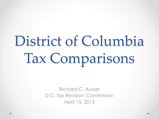# District of Columbia Tax Comparisons

Richard C. Auxier D.C. Tax Revision Commission April 15, 2013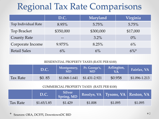### Regional Tax Rate Comparisons

|                     | D.C.      | Maryland  | Virginia |
|---------------------|-----------|-----------|----------|
| Top Individual Rate | $8.95\%$  | 5.75%     | 5.75%    |
| <b>Top Bracket</b>  | \$350,000 | \$300,000 | \$17,000 |
| <b>County Rate</b>  |           | $3.2\%$   | $0\%$    |
| Corporate Income    | 9.975%    | 8.25%     | 6%       |
| <b>Retail Sales</b> | 6%        | 6%        | $6\%^*$  |

#### RESIDENTIAL PROPERTY TAXES (RATE PER \$100)

|                 | D.C.   | Montgomery,<br><b>MD</b> | Pr. George's,<br>MD | Arlington, | Fairfax, VA      |
|-----------------|--------|--------------------------|---------------------|------------|------------------|
| <b>Tax Rate</b> | \$0.85 | \$1.068-1.641            | $$1.431 - 2.921$    | \$0.958    | $$1.096 - 1.213$ |

#### COMMERCIAL PROPERTY TAXES (RATE PER \$100)

|          | D.C.        | Silver<br>Spring, MD | Rosslyn, VA   Tysons, VA   Reston, VA |         |         |
|----------|-------------|----------------------|---------------------------------------|---------|---------|
| Tax Rate | \$1.65/1.85 | \$1.429              | \$1.008                               | \$1.095 | \$1.095 |

Sources: ORA, DCFPI, DowntownDC BID 2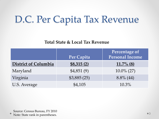## D.C. Per Capita Tax Revenue

#### **Total State & Local Tax Revenue**

|                             | Per Capita  | Percentage of<br>Personal Income |
|-----------------------------|-------------|----------------------------------|
| <b>District of Columbia</b> | \$8,315(2)  | $11.7\%$ (8)                     |
| Maryland                    | \$4,851(9)  | $10.0\%$ (27)                    |
| Virginia                    | \$3,885(25) | $8.8\%$ (44)                     |
| U.S. Average                | \$4,105     | 10.3%                            |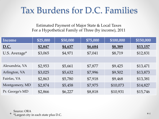### Tax Burdens for D.C. Families

Estimated Payment of Major State & Local Taxes For a Hypothetical Family of Three (by income), 2011

| Income          | \$25,000 | \$50,000 | \$75,000 | \$100,000 | \$150,000 |
|-----------------|----------|----------|----------|-----------|-----------|
| <u>D.C.</u>     | \$2,847  | \$4,637  | \$6,684  | \$8,389   | \$13,157  |
| U.S. Average*   | \$3,065  | \$4,971  | \$7,041  | \$8,719   | \$12,831  |
|                 |          |          |          |           |           |
| Alexandria, VA  | \$2,953  | \$5,661  | \$7,877  | \$9,425   | \$13,471  |
| Arlington, VA   | \$3,025  | \$5,632  | \$7,996  | \$9,502   | \$13,873  |
| Fairfax, VA     | \$2,863  | \$5,780  | \$7,918  | \$9,468   | \$13,381  |
| Montgomery, MD  | \$2,874  | \$5,458  | \$7,975  | \$10,073  | \$14,827  |
| Pr. George's MD | \$2,866  | \$6,227  | \$8,818  | \$10,931  | \$15,746  |

Source: ORA \*Largest city in each state plus D.C. <sup>4</sup>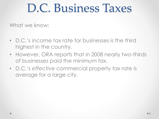# D.C. Business Taxes

What we know:

- D.C.'s income tax rate for businesses is the third highest in the country.
- However, ORA reports that in 2008 nearly two-thirds of businesses paid the minimum tax.
- D.C.'s *effective* commercial property tax rate is average for a large city.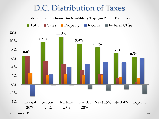### D.C. Distribution of Taxes



**Source: ITEP** 66